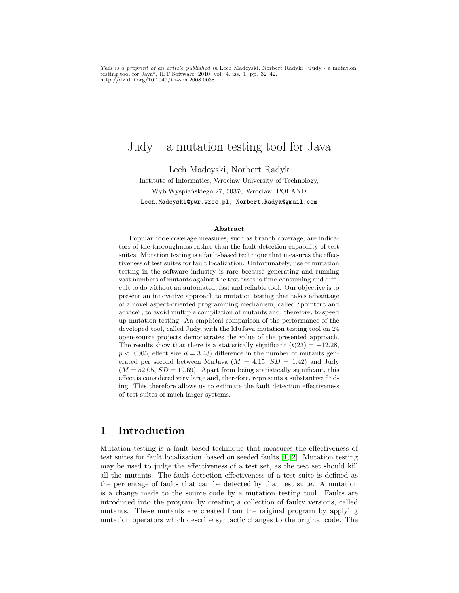This is a preprint of an article published in Lech Madeyski, Norbert Radyk: "Judy - a mutation testing tool for Java", IET Software, 2010, vol. 4, iss. 1, pp. 32–42. http://dx.doi.org/10.1049/iet-sen.2008.0038

# Judy – a mutation testing tool for Java

Lech Madeyski, Norbert Radyk

Institute of Informatics, Wrocław University of Technology, Wyb.Wyspiańskiego 27, 50370 Wrocław, POLAND Lech.Madeyski@pwr.wroc.pl, Norbert.Radyk@gmail.com

#### Abstract

Popular code coverage measures, such as branch coverage, are indicators of the thoroughness rather than the fault detection capability of test suites. Mutation testing is a fault-based technique that measures the effectiveness of test suites for fault localization. Unfortunately, use of mutation testing in the software industry is rare because generating and running vast numbers of mutants against the test cases is time-consuming and difficult to do without an automated, fast and reliable tool. Our objective is to present an innovative approach to mutation testing that takes advantage of a novel aspect-oriented programming mechanism, called "pointcut and advice", to avoid multiple compilation of mutants and, therefore, to speed up mutation testing. An empirical comparison of the performance of the developed tool, called Judy, with the MuJava mutation testing tool on 24 open-source projects demonstrates the value of the presented approach. The results show that there is a statistically significant  $(t(23) = -12.28$ ,  $p < .0005$ , effect size  $d = 3.43$ ) difference in the number of mutants generated per second between MuJava  $(M = 4.15, SD = 1.42)$  and Judy  $(M = 52.05, SD = 19.69)$ . Apart from being statistically significant, this effect is considered very large and, therefore, represents a substantive finding. This therefore allows us to estimate the fault detection effectiveness of test suites of much larger systems.

## <span id="page-0-0"></span>1 Introduction

Mutation testing is a fault-based technique that measures the effectiveness of test suites for fault localization, based on seeded faults [\[1,](#page-14-0) [2\]](#page-14-1). Mutation testing may be used to judge the effectiveness of a test set, as the test set should kill all the mutants. The fault detection effectiveness of a test suite is defined as the percentage of faults that can be detected by that test suite. A mutation is a change made to the source code by a mutation testing tool. Faults are introduced into the program by creating a collection of faulty versions, called mutants. These mutants are created from the original program by applying mutation operators which describe syntactic changes to the original code. The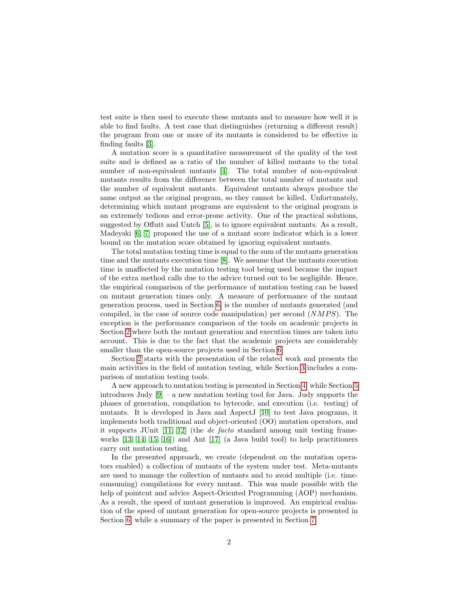test suite is then used to execute these mutants and to measure how well it is able to find faults. A test case that distinguishes (returning a different result) the program from one or more of its mutants is considered to be effective in finding faults [\[3\]](#page-14-2).

A mutation score is a quantitative measurement of the quality of the test suite and is defined as a ratio of the number of killed mutants to the total number of non-equivalent mutants [\[4\]](#page-14-3). The total number of non-equivalent mutants results from the difference between the total number of mutants and the number of equivalent mutants. Equivalent mutants always produce the same output as the original program, so they cannot be killed. Unfortunately, determining which mutant programs are equivalent to the original program is an extremely tedious and error-prone activity. One of the practical solutions, suggested by Offutt and Untch [\[5\]](#page-14-4), is to ignore equivalent mutants. As a result, Madeyski [\[6,](#page-14-5) [7\]](#page-15-0) proposed the use of a mutant score indicator which is a lower bound on the mutation score obtained by ignoring equivalent mutants.

The total mutation testing time is equal to the sum of the mutants generation time and the mutants execution time [\[8\]](#page-15-1). We assume that the mutants execution time is unaffected by the mutation testing tool being used because the impact of the extra method calls due to the advice turned out to be negligible. Hence, the empirical comparison of the performance of mutation testing can be based on mutant generation times only. A measure of performance of the mutant generation process, used in Section [6,](#page-10-0) is the number of mutants generated (and compiled, in the case of source code manipulation) per second  $(NMPS)$ . The exception is the performance comparison of the tools on academic projects in Section [2](#page-2-0) where both the mutant generation and execution times are taken into account. This is due to the fact that the academic projects are considerably smaller than the open-source projects used in Section [6.](#page-10-0)

Section [2](#page-2-0) starts with the presentation of the related work and presents the main activities in the field of mutation testing, while Section [3](#page-3-0) includes a comparison of mutation testing tools.

A new approach to mutation testing is presented in Section [4,](#page-6-0) while Section [5](#page-8-0) introduces Judy  $[9]$  – a new mutation testing tool for Java. Judy supports the phases of generation, compilation to bytecode, and execution (i.e. testing) of mutants. It is developed in Java and AspectJ [\[10\]](#page-15-3) to test Java programs, it implements both traditional and object-oriented (OO) mutation operators, and it supports JUnit [\[11,](#page-15-4) [12\]](#page-15-5) (the de facto standard among unit testing frameworks [\[13,](#page-15-6) [14,](#page-15-7) [15,](#page-15-8) [16\]](#page-15-9)) and Ant [\[17\]](#page-16-0) (a Java build tool) to help practitioners carry out mutation testing.

In the presented approach, we create (dependent on the mutation operators enabled) a collection of mutants of the system under test. Meta-mutants are used to manage the collection of mutants and to avoid multiple (i.e. timeconsuming) compilations for every mutant. This was made possible with the help of pointcut and advice Aspect-Oriented Programming (AOP) mechanism. As a result, the speed of mutant generation is improved. An empirical evaluation of the speed of mutant generation for open-source projects is presented in Section [6,](#page-10-0) while a summary of the paper is presented in Section [7.](#page-13-0)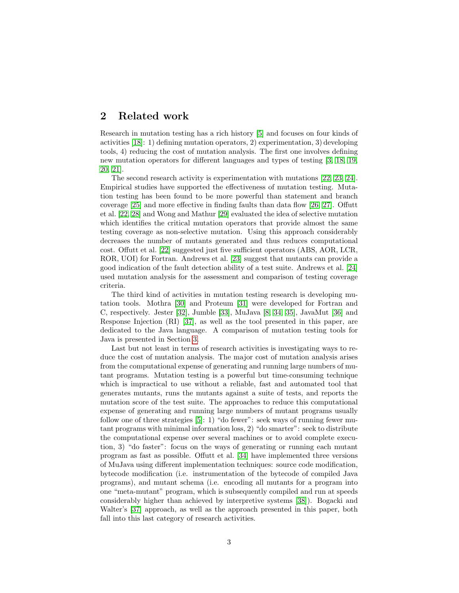## <span id="page-2-0"></span>2 Related work

Research in mutation testing has a rich history [\[5\]](#page-14-4) and focuses on four kinds of activities [\[18\]](#page-16-1): 1) defining mutation operators, 2) experimentation, 3) developing tools, 4) reducing the cost of mutation analysis. The first one involves defining new mutation operators for different languages and types of testing [\[3,](#page-14-2) [18,](#page-16-1) [19,](#page-16-2) [20,](#page-16-3) [21\]](#page-16-4).

The second research activity is experimentation with mutations [\[22,](#page-16-5) [23,](#page-16-6) [24\]](#page-16-7). Empirical studies have supported the effectiveness of mutation testing. Mutation testing has been found to be more powerful than statement and branch coverage [\[25\]](#page-17-0) and more effective in finding faults than data flow [\[26,](#page-17-1) [27\]](#page-17-2). Offutt et al. [\[22,](#page-16-5) [28\]](#page-17-3) and Wong and Mathur [\[29\]](#page-17-4) evaluated the idea of selective mutation which identifies the critical mutation operators that provide almost the same testing coverage as non-selective mutation. Using this approach considerably decreases the number of mutants generated and thus reduces computational cost. Offutt et al. [\[22\]](#page-16-5) suggested just five sufficient operators (ABS, AOR, LCR, ROR, UOI) for Fortran. Andrews et al. [\[23\]](#page-16-6) suggest that mutants can provide a good indication of the fault detection ability of a test suite. Andrews et al. [\[24\]](#page-16-7) used mutation analysis for the assessment and comparison of testing coverage criteria.

The third kind of activities in mutation testing research is developing mutation tools. Mothra [\[30\]](#page-17-5) and Proteum [\[31\]](#page-17-6) were developed for Fortran and C, respectively. Jester [\[32\]](#page-17-7), Jumble [\[33\]](#page-18-0), MuJava [\[8,](#page-15-1) [34,](#page-18-1) [35\]](#page-18-2), JavaMut [\[36\]](#page-18-3) and Response Injection (RI) [\[37\]](#page-18-4), as well as the tool presented in this paper, are dedicated to the Java language. A comparison of mutation testing tools for Java is presented in Section [3.](#page-3-0)

Last but not least in terms of research activities is investigating ways to reduce the cost of mutation analysis. The major cost of mutation analysis arises from the computational expense of generating and running large numbers of mutant programs. Mutation testing is a powerful but time-consuming technique which is impractical to use without a reliable, fast and automated tool that generates mutants, runs the mutants against a suite of tests, and reports the mutation score of the test suite. The approaches to reduce this computational expense of generating and running large numbers of mutant programs usually follow one of three strategies [\[5\]](#page-14-4): 1) "do fewer": seek ways of running fewer mutant programs with minimal information loss, 2) "do smarter": seek to distribute the computational expense over several machines or to avoid complete execution, 3) "do faster": focus on the ways of generating or running each mutant program as fast as possible. Offutt et al. [\[34\]](#page-18-1) have implemented three versions of MuJava using different implementation techniques: source code modification, bytecode modification (i.e. instrumentation of the bytecode of compiled Java programs), and mutant schema (i.e. encoding all mutants for a program into one "meta-mutant" program, which is subsequently compiled and run at speeds considerably higher than achieved by interpretive systems [\[38\]](#page-18-5)). Bogacki and Walter's [\[37\]](#page-18-4) approach, as well as the approach presented in this paper, both fall into this last category of research activities.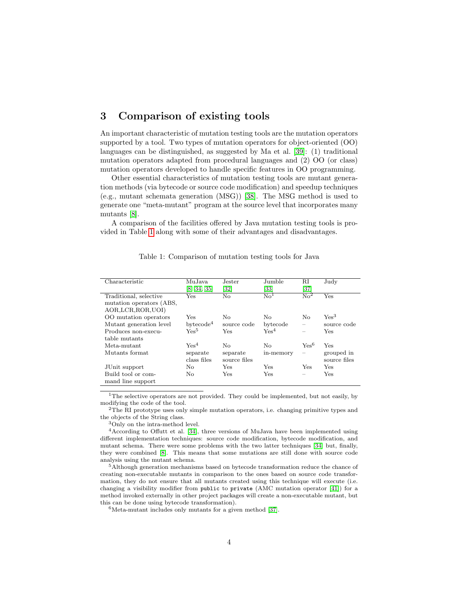# <span id="page-3-0"></span>3 Comparison of existing tools

An important characteristic of mutation testing tools are the mutation operators supported by a tool. Two types of mutation operators for object-oriented (OO) languages can be distinguished, as suggested by Ma et al. [\[39\]](#page-18-6): (1) traditional mutation operators adapted from procedural languages and (2) OO (or class) mutation operators developed to handle specific features in OO programming.

Other essential characteristics of mutation testing tools are mutant generation methods (via bytecode or source code modification) and speedup techniques (e.g., mutant schemata generation (MSG)) [\[38\]](#page-18-5). The MSG method is used to generate one "meta-mutant" program at the source level that incorporates many mutants [\[8\]](#page-15-1).

A comparison of the facilities offered by Java mutation testing tools is provided in Table [1](#page-3-1) along with some of their advantages and disadvantages.

| MuJava                | Jester       | Jumble            | RI                       | Judy                       |
|-----------------------|--------------|-------------------|--------------------------|----------------------------|
| [8, 34, 35]           | [32]         | [33]              | [37]                     |                            |
| $_{\rm Yes}$          | No           | $\mathrm{No}^{1}$ |                          | Yes                        |
|                       |              |                   |                          |                            |
|                       |              |                   |                          |                            |
| Yes                   | No           | No                | No                       | Yes <sup>3</sup>           |
| bytecode <sup>4</sup> | source code  | bytecode          | $\overline{\phantom{0}}$ | source code                |
| Yes <sup>5</sup>      | Yes          | Yes <sup>4</sup>  |                          | Yes                        |
|                       |              |                   |                          |                            |
| Yes <sup>4</sup>      | No           | No                | Yes <sup>6</sup>         | Yes                        |
| separate              | separate     | in-memory         |                          | grouped in                 |
| class files           | source files |                   |                          | source files               |
| No                    | Yes          | Yes               | Yes                      | $_{\rm Yes}$               |
| No                    | Yes          | Yes               |                          | Yes                        |
|                       |              |                   |                          |                            |
|                       |              |                   |                          | $\overline{\mathrm{No}^2}$ |

<span id="page-3-1"></span>Table 1: Comparison of mutation testing tools for Java

<sup>1</sup>The selective operators are not provided. They could be implemented, but not easily, by modifying the code of the tool.

 $2$ The RI prototype uses only simple mutation operators, i.e. changing primitive types and the objects of the String class.

<sup>3</sup>Only on the intra-method level.

<sup>4</sup>According to Offutt et al. [\[34\]](#page-18-1), three versions of MuJava have been implemented using different implementation techniques: source code modification, bytecode modification, and mutant schema. There were some problems with the two latter techniques [\[34\]](#page-18-1) but, finally, they were combined [\[8\]](#page-15-1). This means that some mutations are still done with source code analysis using the mutant schema.

<sup>5</sup>Although generation mechanisms based on bytecode transformation reduce the chance of creating non-executable mutants in comparison to the ones based on source code transformation, they do not ensure that all mutants created using this technique will execute (i.e. changing a visibility modifier from public to private (AMC mutation operator [\[41\]](#page-19-0)) for a method invoked externally in other project packages will create a non-executable mutant, but this can be done using bytecode transformation).

 $6$ Meta-mutant includes only mutants for a given method [\[37\]](#page-18-4).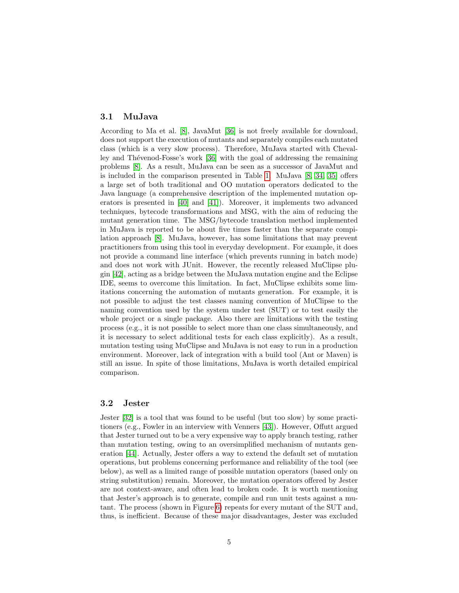#### 3.1 MuJava

According to Ma et al. [\[8\]](#page-15-1), JavaMut [\[36\]](#page-18-3) is not freely available for download, does not support the execution of mutants and separately compiles each mutated class (which is a very slow process). Therefore, MuJava started with Cheval-ley and Thévenod-Fosse's work [\[36\]](#page-18-3) with the goal of addressing the remaining problems [\[8\]](#page-15-1). As a result, MuJava can be seen as a successor of JavaMut and is included in the comparison presented in Table [1.](#page-3-1) MuJava [\[8,](#page-15-1) [34,](#page-18-1) [35\]](#page-18-2) offers a large set of both traditional and OO mutation operators dedicated to the Java language (a comprehensive description of the implemented mutation operators is presented in [\[40\]](#page-18-7) and [\[41\]](#page-19-0)). Moreover, it implements two advanced techniques, bytecode transformations and MSG, with the aim of reducing the mutant generation time. The MSG/bytecode translation method implemented in MuJava is reported to be about five times faster than the separate compilation approach [\[8\]](#page-15-1). MuJava, however, has some limitations that may prevent practitioners from using this tool in everyday development. For example, it does not provide a command line interface (which prevents running in batch mode) and does not work with JUnit. However, the recently released MuClipse plugin [\[42\]](#page-19-1), acting as a bridge between the MuJava mutation engine and the Eclipse IDE, seems to overcome this limitation. In fact, MuClipse exhibits some limitations concerning the automation of mutants generation. For example, it is not possible to adjust the test classes naming convention of MuClipse to the naming convention used by the system under test (SUT) or to test easily the whole project or a single package. Also there are limitations with the testing process (e.g., it is not possible to select more than one class simultaneously, and it is necessary to select additional tests for each class explicitly). As a result, mutation testing using MuClipse and MuJava is not easy to run in a production environment. Moreover, lack of integration with a build tool (Ant or Maven) is still an issue. In spite of those limitations, MuJava is worth detailed empirical comparison.

#### 3.2 Jester

Jester [\[32\]](#page-17-7) is a tool that was found to be useful (but too slow) by some practitioners (e.g., Fowler in an interview with Venners [\[43\]](#page-19-2)). However, Offutt argued that Jester turned out to be a very expensive way to apply branch testing, rather than mutation testing, owing to an oversimplified mechanism of mutants generation [\[44\]](#page-19-3). Actually, Jester offers a way to extend the default set of mutation operations, but problems concerning performance and reliability of the tool (see below), as well as a limited range of possible mutation operators (based only on string substitution) remain. Moreover, the mutation operators offered by Jester are not context-aware, and often lead to broken code. It is worth mentioning that Jester's approach is to generate, compile and run unit tests against a mutant. The process (shown in Figure [6\)](#page-25-0) repeats for every mutant of the SUT and, thus, is inefficient. Because of these major disadvantages, Jester was excluded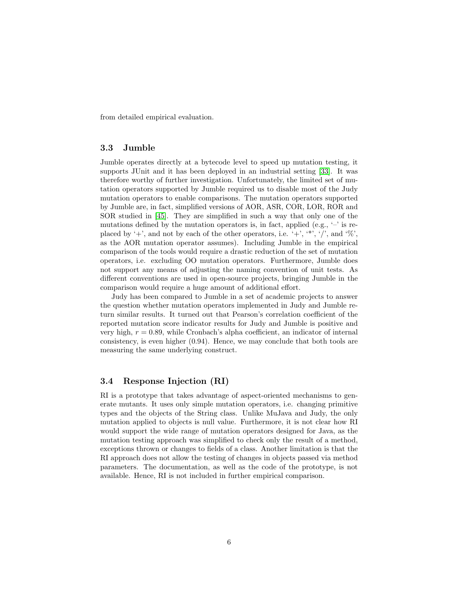from detailed empirical evaluation.

### 3.3 Jumble

Jumble operates directly at a bytecode level to speed up mutation testing, it supports JUnit and it has been deployed in an industrial setting [\[33\]](#page-18-0). It was therefore worthy of further investigation. Unfortunately, the limited set of mutation operators supported by Jumble required us to disable most of the Judy mutation operators to enable comparisons. The mutation operators supported by Jumble are, in fact, simplified versions of AOR, ASR, COR, LOR, ROR and SOR studied in [\[45\]](#page-19-4). They are simplified in such a way that only one of the mutations defined by the mutation operators is, in fact, applied (e.g.,  $\leftarrow$  is replaced by '+', and not by each of the other operators, i.e. '+', '\*', '/', and '%', as the AOR mutation operator assumes). Including Jumble in the empirical comparison of the tools would require a drastic reduction of the set of mutation operators, i.e. excluding OO mutation operators. Furthermore, Jumble does not support any means of adjusting the naming convention of unit tests. As different conventions are used in open-source projects, bringing Jumble in the comparison would require a huge amount of additional effort.

Judy has been compared to Jumble in a set of academic projects to answer the question whether mutation operators implemented in Judy and Jumble return similar results. It turned out that Pearson's correlation coefficient of the reported mutation score indicator results for Judy and Jumble is positive and very high,  $r = 0.89$ , while Cronbach's alpha coefficient, an indicator of internal consistency, is even higher (0.94). Hence, we may conclude that both tools are measuring the same underlying construct.

### 3.4 Response Injection (RI)

RI is a prototype that takes advantage of aspect-oriented mechanisms to generate mutants. It uses only simple mutation operators, i.e. changing primitive types and the objects of the String class. Unlike MuJava and Judy, the only mutation applied to objects is null value. Furthermore, it is not clear how RI would support the wide range of mutation operators designed for Java, as the mutation testing approach was simplified to check only the result of a method, exceptions thrown or changes to fields of a class. Another limitation is that the RI approach does not allow the testing of changes in objects passed via method parameters. The documentation, as well as the code of the prototype, is not available. Hence, RI is not included in further empirical comparison.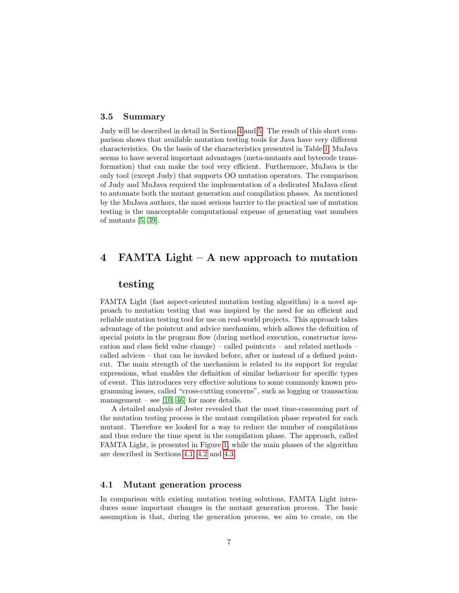#### 3.5 Summary

Judy will be described in detail in Sections [4](#page-6-0) and [5.](#page-8-0) The result of this short comparison shows that available mutation testing tools for Java have very different characteristics. On the basis of the characteristics presented in Table [1,](#page-3-1) MuJava seems to have several important advantages (meta-mutants and bytecode transformation) that can make the tool very efficient. Furthermore, MuJava is the only tool (except Judy) that supports OO mutation operators. The comparison of Judy and MuJava required the implementation of a dedicated MuJava client to automate both the mutant generation and compilation phases. As mentioned by the MuJava authors, the most serious barrier to the practical use of mutation testing is the unacceptable computational expense of generating vast numbers of mutants [\[5,](#page-14-4) [39\]](#page-18-6).

## <span id="page-6-0"></span>4 FAMTA Light – A new approach to mutation

### testing

FAMTA Light (fast aspect-oriented mutation testing algorithm) is a novel approach to mutation testing that was inspired by the need for an efficient and reliable mutation testing tool for use on real-world projects. This approach takes advantage of the pointcut and advice mechanism, which allows the definition of special points in the program flow (during method execution, constructor invocation and class field value change) – called pointcuts – and related methods – called advices – that can be invoked before, after or instead of a defined pointcut. The main strength of the mechanism is related to its support for regular expressions, what enables the definition of similar behaviour for specific types of event. This introduces very effective solutions to some commonly known programming issues, called "cross-cutting concerns", such as logging or transaction management – see [\[10,](#page-15-3) [46\]](#page-19-5) for more details.

A detailed analysis of Jester revealed that the most time-consuming part of the mutation testing process is the mutant compilation phase repeated for each mutant. Therefore we looked for a way to reduce the number of compilations and thus reduce the time spent in the compilation phase. The approach, called FAMTA Light, is presented in Figure [1,](#page-20-0) while the main phases of the algorithm are described in Sections [4.1,](#page-6-1) [4.2](#page-7-0) and [4.3.](#page-8-1)

#### <span id="page-6-1"></span>4.1 Mutant generation process

In comparison with existing mutation testing solutions, FAMTA Light introduces some important changes in the mutant generation process. The basic assumption is that, during the generation process, we aim to create, on the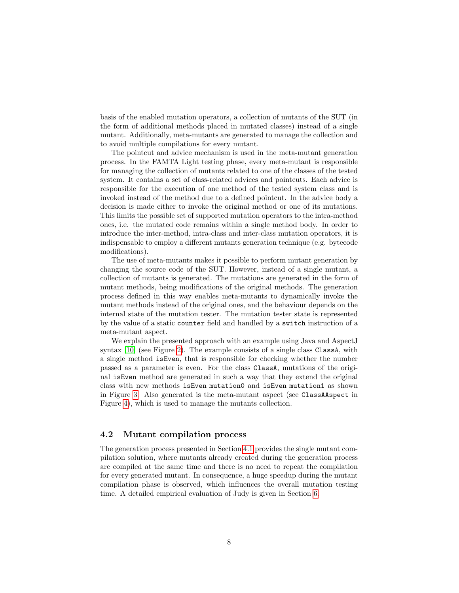basis of the enabled mutation operators, a collection of mutants of the SUT (in the form of additional methods placed in mutated classes) instead of a single mutant. Additionally, meta-mutants are generated to manage the collection and to avoid multiple compilations for every mutant.

The pointcut and advice mechanism is used in the meta-mutant generation process. In the FAMTA Light testing phase, every meta-mutant is responsible for managing the collection of mutants related to one of the classes of the tested system. It contains a set of class-related advices and pointcuts. Each advice is responsible for the execution of one method of the tested system class and is invoked instead of the method due to a defined pointcut. In the advice body a decision is made either to invoke the original method or one of its mutations. This limits the possible set of supported mutation operators to the intra-method ones, i.e. the mutated code remains within a single method body. In order to introduce the inter-method, intra-class and inter-class mutation operators, it is indispensable to employ a different mutants generation technique (e.g. bytecode modifications).

The use of meta-mutants makes it possible to perform mutant generation by changing the source code of the SUT. However, instead of a single mutant, a collection of mutants is generated. The mutations are generated in the form of mutant methods, being modifications of the original methods. The generation process defined in this way enables meta-mutants to dynamically invoke the mutant methods instead of the original ones, and the behaviour depends on the internal state of the mutation tester. The mutation tester state is represented by the value of a static counter field and handled by a switch instruction of a meta-mutant aspect.

We explain the presented approach with an example using Java and AspectJ syntax  $[10]$  (see Figure [2\)](#page-21-0). The example consists of a single class Class A, with a single method isEven, that is responsible for checking whether the number passed as a parameter is even. For the class ClassA, mutations of the original isEven method are generated in such a way that they extend the original class with new methods isEven mutation0 and isEven mutation1 as shown in Figure [3.](#page-22-0) Also generated is the meta-mutant aspect (see ClassAAspect in Figure [4\)](#page-23-0), which is used to manage the mutants collection.

### <span id="page-7-0"></span>4.2 Mutant compilation process

The generation process presented in Section [4.1](#page-6-1) provides the single mutant compilation solution, where mutants already created during the generation process are compiled at the same time and there is no need to repeat the compilation for every generated mutant. In consequence, a huge speedup during the mutant compilation phase is observed, which influences the overall mutation testing time. A detailed empirical evaluation of Judy is given in Section [6.](#page-10-0)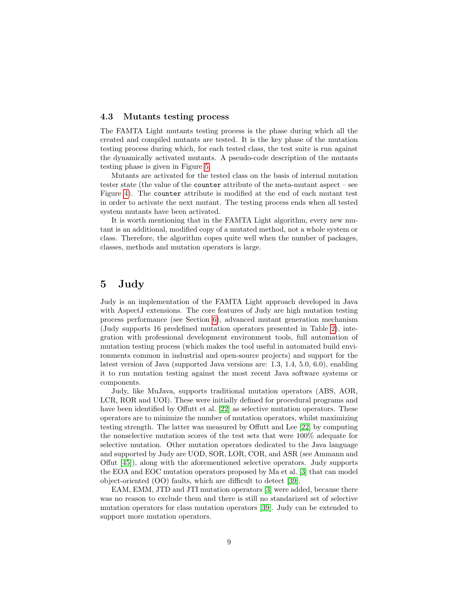### <span id="page-8-1"></span>4.3 Mutants testing process

The FAMTA Light mutants testing process is the phase during which all the created and compiled mutants are tested. It is the key phase of the mutation testing process during which, for each tested class, the test suite is run against the dynamically activated mutants. A pseudo-code description of the mutants testing phase is given in Figure [5.](#page-24-0)

Mutants are activated for the tested class on the basis of internal mutation tester state (the value of the counter attribute of the meta-mutant aspect – see Figure [4\)](#page-23-0). The counter attribute is modified at the end of each mutant test in order to activate the next mutant. The testing process ends when all tested system mutants have been activated.

It is worth mentioning that in the FAMTA Light algorithm, every new mutant is an additional, modified copy of a mutated method, not a whole system or class. Therefore, the algorithm copes quite well when the number of packages, classes, methods and mutation operators is large.

## <span id="page-8-0"></span>5 Judy

Judy is an implementation of the FAMTA Light approach developed in Java with AspectJ extensions. The core features of Judy are high mutation testing process performance (see Section [6\)](#page-10-0), advanced mutant generation mechanism (Judy supports 16 predefined mutation operators presented in Table [2\)](#page-9-0), integration with professional development environment tools, full automation of mutation testing process (which makes the tool useful in automated build environments common in industrial and open-source projects) and support for the latest version of Java (supported Java versions are: 1.3, 1.4, 5.0, 6.0), enabling it to run mutation testing against the most recent Java software systems or components.

Judy, like MuJava, supports traditional mutation operators (ABS, AOR, LCR, ROR and UOI). These were initially defined for procedural programs and have been identified by Offutt et al. [\[22\]](#page-16-5) as selective mutation operators. These operators are to minimize the number of mutation operators, whilst maximizing testing strength. The latter was measured by Offutt and Lee [\[22\]](#page-16-5) by computing the nonselective mutation scores of the test sets that were 100% adequate for selective mutation. Other mutation operators dedicated to the Java language and supported by Judy are UOD, SOR, LOR, COR, and ASR (see Ammann and Offut [\[45\]](#page-19-4)), along with the aforementioned selective operators. Judy supports the EOA and EOC mutation operators proposed by Ma et al. [\[3\]](#page-14-2) that can model object-oriented (OO) faults, which are difficult to detect [\[39\]](#page-18-6).

EAM, EMM, JTD and JTI mutation operators [\[3\]](#page-14-2) were added, because there was no reason to exclude them and there is still no standarized set of selective mutation operators for class mutation operators [\[39\]](#page-18-6). Judy can be extended to support more mutation operators.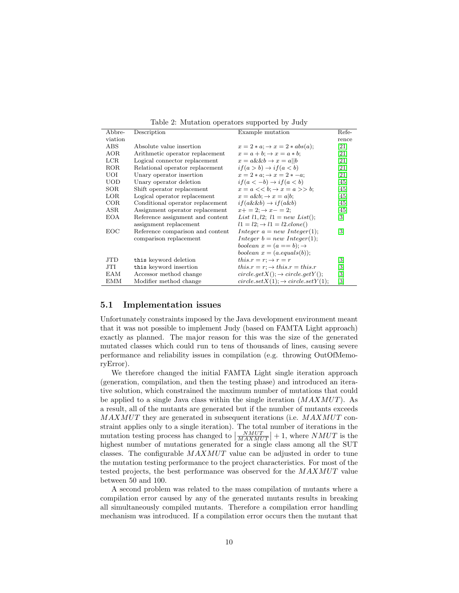| Abbre-     | Description                      | Example mutation                                | Refe-                                                                                                                                                                            |
|------------|----------------------------------|-------------------------------------------------|----------------------------------------------------------------------------------------------------------------------------------------------------------------------------------|
| viation    |                                  |                                                 | rence                                                                                                                                                                            |
| ABS        | Absolute value insertion         | $x = 2 * a$ ; $\rightarrow x = 2 * abs(a)$ ;    | $\left[ 21\right]$                                                                                                                                                               |
| AOR        | Arithmetic operator replacement  | $x = a + b$ ; $\rightarrow x = a * b$ ;         | $\left[ 21\right]$                                                                                                                                                               |
| LCR        | Logical connector replacement    | $x = a\&\&b \rightarrow x = a  b$               | [21]                                                                                                                                                                             |
| <b>ROR</b> | Relational operator replacement  | $if(a > b) \rightarrow if(a < b)$               | $\left[ 21\right]$                                                                                                                                                               |
| UOI        | Unary operator insertion         | $x = 2*a$ ; $\rightarrow x = 2 * -a$ ;          | $\left[ 21\right]$                                                                                                                                                               |
| <b>UOD</b> | Unary operator deletion          | $if(a < -b) \rightarrow if(a < b)$              | [45]                                                                                                                                                                             |
| <b>SOR</b> | Shift operator replacement       | $x = a \ll b$ ; $\rightarrow x = a \gg b$ ;     | [45]                                                                                                                                                                             |
| LOR        | Logical operator replacement     | $x = a \& b; \rightarrow x = a   b;$            | [45]                                                                                                                                                                             |
| COR        | Conditional operator replacement | $if(a\&\&b) \rightarrow if(a\&b)$               | [45]                                                                                                                                                                             |
| ASR        | Assignment operator replacement  | $x+=2; \rightarrow x-=2;$                       | [45]                                                                                                                                                                             |
| EOA        | Reference assignment and content | <i>List</i> $l1, l2; l1 = new List();$          | $\left[ 3\right]$                                                                                                                                                                |
|            | assignment replacement           | $l1 = l2 \Rightarrow l1 = l2.close()$           |                                                                                                                                                                                  |
| EOC        | Reference comparison and content | Integer $a = new Integer(1);$                   | $[3]$                                                                                                                                                                            |
|            | comparison replacement           | $Integer b = new Integer(1);$                   |                                                                                                                                                                                  |
|            |                                  | boolean $x = (a == b)$ ; $\rightarrow$          |                                                                                                                                                                                  |
|            |                                  | boolean $x = (a.equals(b));$                    |                                                                                                                                                                                  |
| JTD        | this keyword deletion            | this. $r = r$ ; $\rightarrow r = r$             | $\left[ 3\right]$                                                                                                                                                                |
| JTI        | this keyword insertion           | $this.r = r \rightarrow this.r = this.r$        |                                                                                                                                                                                  |
| EAM        | Accessor method change           | $circle.getX()$ ; $\rightarrow circle.getY()$ ; | $[3] % \includegraphics[width=1\textwidth]{images/Traj_2.pdf} \caption{Schematic diagram of the top of the top of the top of the right.} \label{fig:Traj_2.pdf}$                 |
| EMM        | Modifier method change           | $circle.setX(1); \rightarrow circle.setY(1);$   | $[3] % \includegraphics[width=0.9\columnwidth]{figures/fig_1a} \caption{Schematic diagram of the top of the top of the top of the top of the top of the right.} \label{fig:1} %$ |

<span id="page-9-0"></span>Table 2: Mutation operators supported by Judy

### 5.1 Implementation issues

Unfortunately constraints imposed by the Java development environment meant that it was not possible to implement Judy (based on FAMTA Light approach) exactly as planned. The major reason for this was the size of the generated mutated classes which could run to tens of thousands of lines, causing severe performance and reliability issues in compilation (e.g. throwing OutOfMemoryError).

We therefore changed the initial FAMTA Light single iteration approach (generation, compilation, and then the testing phase) and introduced an iterative solution, which constrained the maximum number of mutations that could be applied to a single Java class within the single iteration  $(MAXMUT)$ . As a result, all of the mutants are generated but if the number of mutants exceeds MAXMUT they are generated in subsequent iterations (i.e. MAXMUT constraint applies only to a single iteration). The total number of iterations in the mutation testing process has changed to  $\left| \frac{NMUT}{MAXMUT} \right| + 1$ , where  $NMUT$  is the highest number of mutations generated for a single class among all the SUT classes. The configurable MAXMUT value can be adjusted in order to tune the mutation testing performance to the project characteristics. For most of the tested projects, the best performance was observed for the MAXMUT value between 50 and 100.

A second problem was related to the mass compilation of mutants where a compilation error caused by any of the generated mutants results in breaking all simultaneously compiled mutants. Therefore a compilation error handling mechanism was introduced. If a compilation error occurs then the mutant that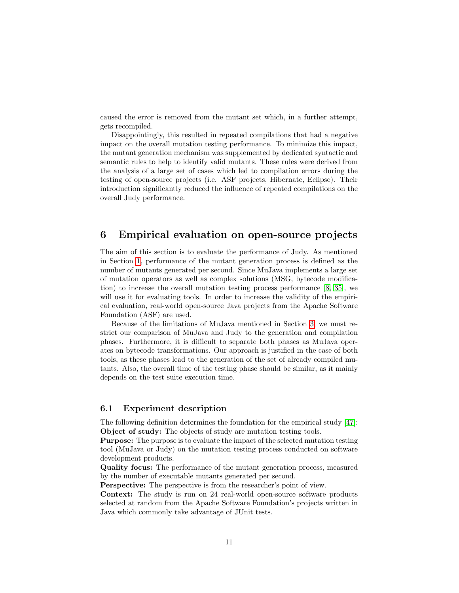caused the error is removed from the mutant set which, in a further attempt, gets recompiled.

Disappointingly, this resulted in repeated compilations that had a negative impact on the overall mutation testing performance. To minimize this impact, the mutant generation mechanism was supplemented by dedicated syntactic and semantic rules to help to identify valid mutants. These rules were derived from the analysis of a large set of cases which led to compilation errors during the testing of open-source projects (i.e. ASF projects, Hibernate, Eclipse). Their introduction significantly reduced the influence of repeated compilations on the overall Judy performance.

## <span id="page-10-0"></span>6 Empirical evaluation on open-source projects

The aim of this section is to evaluate the performance of Judy. As mentioned in Section [1,](#page-0-0) performance of the mutant generation process is defined as the number of mutants generated per second. Since MuJava implements a large set of mutation operators as well as complex solutions (MSG, bytecode modification) to increase the overall mutation testing process performance [\[8,](#page-15-1) [35\]](#page-18-2), we will use it for evaluating tools. In order to increase the validity of the empirical evaluation, real-world open-source Java projects from the Apache Software Foundation (ASF) are used.

Because of the limitations of MuJava mentioned in Section [3,](#page-3-0) we must restrict our comparison of MuJava and Judy to the generation and compilation phases. Furthermore, it is difficult to separate both phases as MuJava operates on bytecode transformations. Our approach is justified in the case of both tools, as these phases lead to the generation of the set of already compiled mutants. Also, the overall time of the testing phase should be similar, as it mainly depends on the test suite execution time.

### <span id="page-10-1"></span>6.1 Experiment description

The following definition determines the foundation for the empirical study [\[47\]](#page-19-6): Object of study: The objects of study are mutation testing tools.

Purpose: The purpose is to evaluate the impact of the selected mutation testing tool (MuJava or Judy) on the mutation testing process conducted on software development products.

Quality focus: The performance of the mutant generation process, measured by the number of executable mutants generated per second.

Perspective: The perspective is from the researcher's point of view.

Context: The study is run on 24 real-world open-source software products selected at random from the Apache Software Foundation's projects written in Java which commonly take advantage of JUnit tests.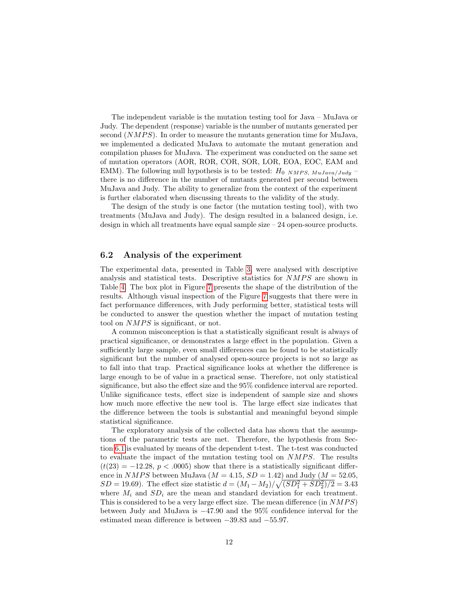The independent variable is the mutation testing tool for Java – MuJava or Judy. The dependent (response) variable is the number of mutants generated per second  $(NMPS)$ . In order to measure the mutants generation time for MuJava, we implemented a dedicated MuJava to automate the mutant generation and compilation phases for MuJava. The experiment was conducted on the same set of mutation operators (AOR, ROR, COR, SOR, LOR, EOA, EOC, EAM and EMM). The following null hypothesis is to be tested:  $H_0$  NMPS, MuJava/Judy – there is no difference in the number of mutants generated per second between MuJava and Judy. The ability to generalize from the context of the experiment is further elaborated when discussing threats to the validity of the study.

The design of the study is one factor (the mutation testing tool), with two treatments (MuJava and Judy). The design resulted in a balanced design, i.e. design in which all treatments have equal sample size  $-24$  open-source products.

#### 6.2 Analysis of the experiment

The experimental data, presented in Table [3,](#page-12-0) were analysed with descriptive analysis and statistical tests. Descriptive statistics for  $NMPS$  are shown in Table [4.](#page-13-1) The box plot in Figure [7](#page-26-0) presents the shape of the distribution of the results. Although visual inspection of the Figure [7](#page-26-0) suggests that there were in fact performance differences, with Judy performing better, statistical tests will be conducted to answer the question whether the impact of mutation testing tool on  $NMPS$  is significant, or not.

A common misconception is that a statistically significant result is always of practical significance, or demonstrates a large effect in the population. Given a sufficiently large sample, even small differences can be found to be statistically significant but the number of analysed open-source projects is not so large as to fall into that trap. Practical significance looks at whether the difference is large enough to be of value in a practical sense. Therefore, not only statistical significance, but also the effect size and the 95% confidence interval are reported. Unlike significance tests, effect size is independent of sample size and shows how much more effective the new tool is. The large effect size indicates that the difference between the tools is substantial and meaningful beyond simple statistical significance.

The exploratory analysis of the collected data has shown that the assumptions of the parametric tests are met. Therefore, the hypothesis from Section [6.1](#page-10-1) is evaluated by means of the dependent t-test. The t-test was conducted to evaluate the impact of the mutation testing tool on  $NMPS$ . The results  $(t(23) = -12.28, p < .0005)$  show that there is a statistically significant difference in NMPS between MuJava ( $M = 4.15$ ,  $SD = 1.42$ ) and Judy ( $M = 52.05$ ,  $SD = 19.69$ ). The effect size statistic  $d = (M_1 - M_2) / \sqrt{(SD_1^2 + SD_2^2)/2} = 3.43$ where  $M_i$  and  $SD_i$  are the mean and standard deviation for each treatment. This is considered to be a very large effect size. The mean difference (in  $NMPS$ ) between Judy and MuJava is −47.90 and the 95% confidence interval for the estimated mean difference is between −39.83 and −55.97.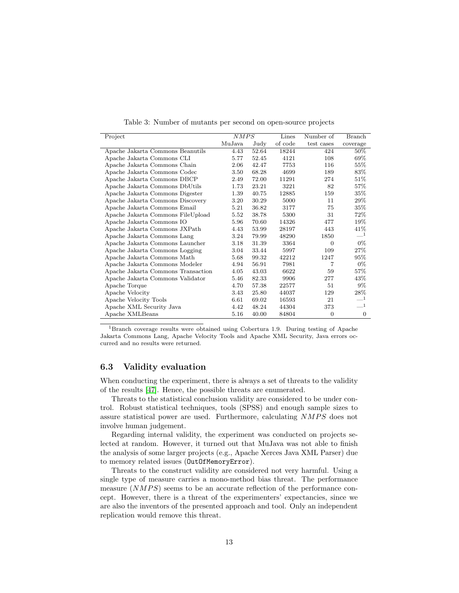| Project                            | $\scriptstyle NMPS$ |       | Lines   | Number of  | Branch       |
|------------------------------------|---------------------|-------|---------|------------|--------------|
|                                    | MuJava              | Judy  | of code | test cases | coverage     |
| Apache Jakarta Commons Beanutils   | 4.43                | 52.64 | 18244   | 424        | $50\%$       |
| Apache Jakarta Commons CLI         | 5.77                | 52.45 | 4121    | 108        | 69%          |
| Apache Jakarta Commons Chain       | 2.06                | 42.47 | 7753    | 116        | 55%          |
| Apache Jakarta Commons Codec       | 3.50                | 68.28 | 4699    | 189        | 83%          |
| Apache Jakarta Commons DBCP        | 2.49                | 72.00 | 11291   | 274        | 51\%         |
| Apache Jakarta Commons DbUtils     | 1.73                | 23.21 | 3221    | 82         | 57%          |
| Apache Jakarta Commons Digester    | 1.39                | 40.75 | 12885   | 159        | $35\%$       |
| Apache Jakarta Commons Discovery   | 3.20                | 30.29 | 5000    | 11         | 29%          |
| Apache Jakarta Commons Email       | 5.21                | 36.82 | 3177    | 75         | $35\%$       |
| Apache Jakarta Commons FileUpload  | 5.52                | 38.78 | 5300    | 31         | 72\%         |
| Apache Jakarta Commons IO          | 5.96                | 70.60 | 14326   | 477        | $19\%$       |
| Apache Jakarta Commons JXPath      | 4.43                | 53.99 | 28197   | 443        | 41\%         |
| Apache Jakarta Commons Lang        | 3.24                | 79.99 | 48290   | 1850       | $-1$         |
| Apache Jakarta Commons Launcher    | 3.18                | 31.39 | 3364    | $\theta$   | $0\%$        |
| Apache Jakarta Commons Logging     | 3.04                | 33.44 | 5997    | 109        | 27\%         |
| Apache Jakarta Commons Math        | 5.68                | 99.32 | 42212   | 1247       | 95%          |
| Apache Jakarta Commons Modeler     | 4.94                | 56.91 | 7981    | 7          | $0\%$        |
| Apache Jakarta Commons Transaction | 4.05                | 43.03 | 6622    | 59         | 57\%         |
| Apache Jakarta Commons Validator   | 5.46                | 82.33 | 9906    | 277        | 43%          |
| Apache Torque                      | 4.70                | 57.38 | 22577   | 51         | $9\%$        |
| Apache Velocity                    | 3.43                | 25.80 | 44037   | 129        | $28\%$       |
| Apache Velocity Tools              | 6.61                | 69.02 | 16593   | 21         | $-1$         |
| Apache XML Security Java           | 4.42                | 48.24 | 44304   | 373        | $-1$         |
| Apache XMLBeans                    | 5.16                | 40.00 | 84804   | 0          | $\mathbf{0}$ |

<span id="page-12-0"></span>Table 3: Number of mutants per second on open-source projects

<sup>1</sup>Branch coverage results were obtained using Cobertura 1.9. During testing of Apache Jakarta Commons Lang, Apache Velocity Tools and Apache XML Security, Java errors occurred and no results were returned.

### 6.3 Validity evaluation

When conducting the experiment, there is always a set of threats to the validity of the results [\[47\]](#page-19-6). Hence, the possible threats are enumerated.

Threats to the statistical conclusion validity are considered to be under control. Robust statistical techniques, tools (SPSS) and enough sample sizes to assure statistical power are used. Furthermore, calculating  $NMPS$  does not involve human judgement.

Regarding internal validity, the experiment was conducted on projects selected at random. However, it turned out that MuJava was not able to finish the analysis of some larger projects (e.g., Apache Xerces Java XML Parser) due to memory related issues (OutOfMemoryError).

Threats to the construct validity are considered not very harmful. Using a single type of measure carries a mono-method bias threat. The performance measure  $(NMPS)$  seems to be an accurate reflection of the performance concept. However, there is a threat of the experimenters' expectancies, since we are also the inventors of the presented approach and tool. Only an independent replication would remove this threat.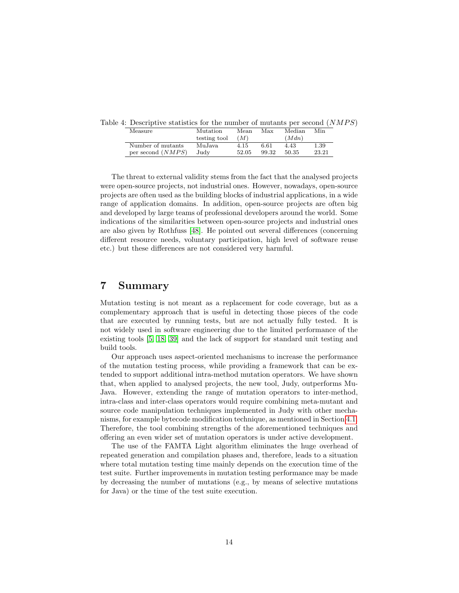Table 4: Descriptive statistics for the number of mutants per second  $(NMPS)$ 

<span id="page-13-1"></span>

| Measure             | Mutation     | Mean  | Max   | Median | Min   |
|---------------------|--------------|-------|-------|--------|-------|
|                     | testing tool | (M)   |       | (Mdn)  |       |
| Number of mutants   | MuJava       | 4.15  | 6.61  | 4.43   | 1.39  |
| per second $(NMPS)$ | Judy         | 52.05 | 99.32 | 50.35  | 23.21 |

The threat to external validity stems from the fact that the analysed projects were open-source projects, not industrial ones. However, nowadays, open-source projects are often used as the building blocks of industrial applications, in a wide range of application domains. In addition, open-source projects are often big and developed by large teams of professional developers around the world. Some indications of the similarities between open-source projects and industrial ones are also given by Rothfuss [\[48\]](#page-19-7). He pointed out several differences (concerning different resource needs, voluntary participation, high level of software reuse etc.) but these differences are not considered very harmful.

### <span id="page-13-0"></span>7 Summary

Mutation testing is not meant as a replacement for code coverage, but as a complementary approach that is useful in detecting those pieces of the code that are executed by running tests, but are not actually fully tested. It is not widely used in software engineering due to the limited performance of the existing tools [\[5,](#page-14-4) [18,](#page-16-1) [39\]](#page-18-6) and the lack of support for standard unit testing and build tools.

Our approach uses aspect-oriented mechanisms to increase the performance of the mutation testing process, while providing a framework that can be extended to support additional intra-method mutation operators. We have shown that, when applied to analysed projects, the new tool, Judy, outperforms Mu-Java. However, extending the range of mutation operators to inter-method, intra-class and inter-class operators would require combining meta-mutant and source code manipulation techniques implemented in Judy with other mechanisms, for example bytecode modification technique, as mentioned in Section [4.1.](#page-6-1) Therefore, the tool combining strengths of the aforementioned techniques and offering an even wider set of mutation operators is under active development.

The use of the FAMTA Light algorithm eliminates the huge overhead of repeated generation and compilation phases and, therefore, leads to a situation where total mutation testing time mainly depends on the execution time of the test suite. Further improvements in mutation testing performance may be made by decreasing the number of mutations (e.g., by means of selective mutations for Java) or the time of the test suite execution.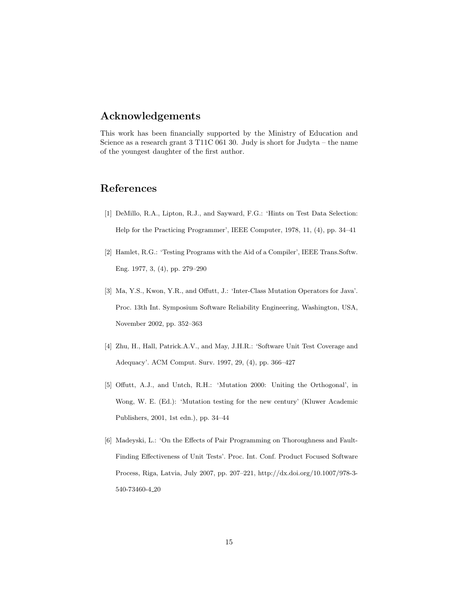# Acknowledgements

This work has been financially supported by the Ministry of Education and Science as a research grant 3 T11C 061 30. Judy is short for Judyta – the name of the youngest daughter of the first author.

## <span id="page-14-0"></span>References

- [1] DeMillo, R.A., Lipton, R.J., and Sayward, F.G.: 'Hints on Test Data Selection: Help for the Practicing Programmer', IEEE Computer, 1978, 11, (4), pp. 34–41
- <span id="page-14-1"></span>[2] Hamlet, R.G.: 'Testing Programs with the Aid of a Compiler', IEEE Trans.Softw. Eng. 1977, 3, (4), pp. 279–290
- <span id="page-14-2"></span>[3] Ma, Y.S., Kwon, Y.R., and Offutt, J.: 'Inter-Class Mutation Operators for Java'. Proc. 13th Int. Symposium Software Reliability Engineering, Washington, USA, November 2002, pp. 352–363
- <span id="page-14-3"></span>[4] Zhu, H., Hall, Patrick.A.V., and May, J.H.R.: 'Software Unit Test Coverage and Adequacy'. ACM Comput. Surv. 1997, 29, (4), pp. 366–427
- <span id="page-14-4"></span>[5] Offutt, A.J., and Untch, R.H.: 'Mutation 2000: Uniting the Orthogonal', in Wong, W. E. (Ed.): 'Mutation testing for the new century' (Kluwer Academic Publishers, 2001, 1st edn.), pp. 34–44
- <span id="page-14-5"></span>[6] Madeyski, L.: 'On the Effects of Pair Programming on Thoroughness and Fault-Finding Effectiveness of Unit Tests'. Proc. Int. Conf. Product Focused Software Process, Riga, Latvia, July 2007, pp. 207–221, http://dx.doi.org/10.1007/978-3- 540-73460-4 20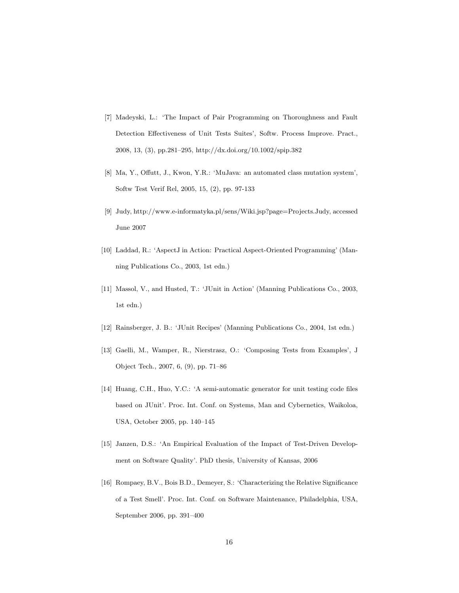- <span id="page-15-0"></span>[7] Madeyski, L.: 'The Impact of Pair Programming on Thoroughness and Fault Detection Effectiveness of Unit Tests Suites', Softw. Process Improve. Pract., 2008, 13, (3), pp.281–295, http://dx.doi.org/10.1002/spip.382
- <span id="page-15-1"></span>[8] Ma, Y., Offutt, J., Kwon, Y.R.: 'MuJava: an automated class mutation system', Softw Test Verif Rel, 2005, 15, (2), pp. 97-133
- <span id="page-15-2"></span>[9] Judy, http://www.e-informatyka.pl/sens/Wiki.jsp?page=Projects.Judy, accessed June 2007
- <span id="page-15-3"></span>[10] Laddad, R.: 'AspectJ in Action: Practical Aspect-Oriented Programming' (Manning Publications Co., 2003, 1st edn.)
- <span id="page-15-4"></span>[11] Massol, V., and Husted, T.: 'JUnit in Action' (Manning Publications Co., 2003, 1st edn.)
- <span id="page-15-6"></span><span id="page-15-5"></span>[12] Rainsberger, J. B.: 'JUnit Recipes' (Manning Publications Co., 2004, 1st edn.)
- [13] Gaelli, M., Wamper, R., Nierstrasz, O.: 'Composing Tests from Examples', J Object Tech., 2007, 6, (9), pp. 71–86
- <span id="page-15-7"></span>[14] Huang, C.H., Huo, Y.C.: 'A semi-automatic generator for unit testing code files based on JUnit'. Proc. Int. Conf. on Systems, Man and Cybernetics, Waikoloa, USA, October 2005, pp. 140–145
- <span id="page-15-8"></span>[15] Janzen, D.S.: 'An Empirical Evaluation of the Impact of Test-Driven Development on Software Quality'. PhD thesis, University of Kansas, 2006
- <span id="page-15-9"></span>[16] Rompaey, B.V., Bois B.D., Demeyer, S.: 'Characterizing the Relative Significance of a Test Smell'. Proc. Int. Conf. on Software Maintenance, Philadelphia, USA, September 2006, pp. 391–400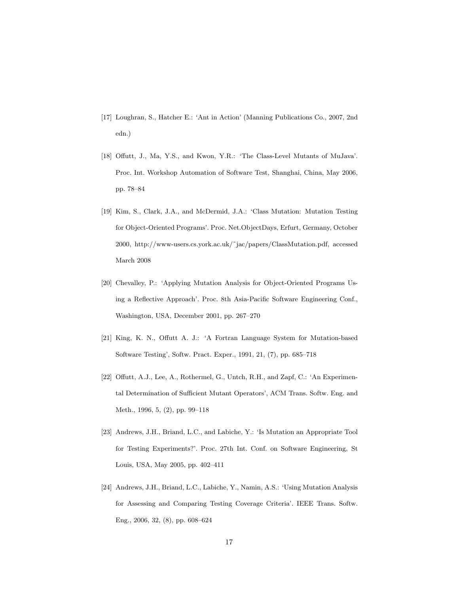- <span id="page-16-0"></span>[17] Loughran, S., Hatcher E.: 'Ant in Action' (Manning Publications Co., 2007, 2nd edn.)
- <span id="page-16-1"></span>[18] Offutt, J., Ma, Y.S., and Kwon, Y.R.: 'The Class-Level Mutants of MuJava'. Proc. Int. Workshop Automation of Software Test, Shanghai, China, May 2006, pp. 78–84
- <span id="page-16-2"></span>[19] Kim, S., Clark, J.A., and McDermid, J.A.: 'Class Mutation: Mutation Testing for Object-Oriented Programs'. Proc. Net.ObjectDays, Erfurt, Germany, October 2000, http://www-users.cs.york.ac.uk/˜jac/papers/ClassMutation.pdf, accessed March 2008
- <span id="page-16-3"></span>[20] Chevalley, P.: 'Applying Mutation Analysis for Object-Oriented Programs Using a Reflective Approach'. Proc. 8th Asia-Pacific Software Engineering Conf., Washington, USA, December 2001, pp. 267–270
- <span id="page-16-4"></span>[21] King, K. N., Offutt A. J.: 'A Fortran Language System for Mutation-based Software Testing', Softw. Pract. Exper., 1991, 21, (7), pp. 685–718
- <span id="page-16-5"></span>[22] Offutt, A.J., Lee, A., Rothermel, G., Untch, R.H., and Zapf, C.: 'An Experimental Determination of Sufficient Mutant Operators', ACM Trans. Softw. Eng. and Meth., 1996, 5, (2), pp. 99–118
- <span id="page-16-6"></span>[23] Andrews, J.H., Briand, L.C., and Labiche, Y.: 'Is Mutation an Appropriate Tool for Testing Experiments?'. Proc. 27th Int. Conf. on Software Engineering, St Louis, USA, May 2005, pp. 402–411
- <span id="page-16-7"></span>[24] Andrews, J.H., Briand, L.C., Labiche, Y., Namin, A.S.: 'Using Mutation Analysis for Assessing and Comparing Testing Coverage Criteria'. IEEE Trans. Softw. Eng., 2006, 32, (8), pp. 608–624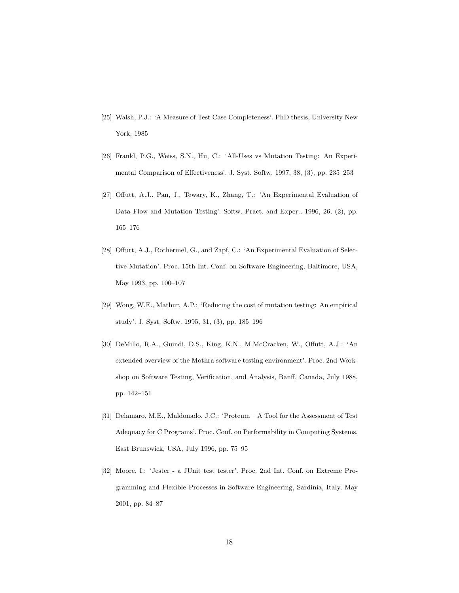- <span id="page-17-0"></span>[25] Walsh, P.J.: 'A Measure of Test Case Completeness'. PhD thesis, University New York, 1985
- <span id="page-17-1"></span>[26] Frankl, P.G., Weiss, S.N., Hu, C.: 'All-Uses vs Mutation Testing: An Experimental Comparison of Effectiveness'. J. Syst. Softw. 1997, 38, (3), pp. 235–253
- <span id="page-17-2"></span>[27] Offutt, A.J., Pan, J., Tewary, K., Zhang, T.: 'An Experimental Evaluation of Data Flow and Mutation Testing'. Softw. Pract. and Exper., 1996, 26, (2), pp. 165–176
- <span id="page-17-3"></span>[28] Offutt, A.J., Rothermel, G., and Zapf, C.: 'An Experimental Evaluation of Selective Mutation'. Proc. 15th Int. Conf. on Software Engineering, Baltimore, USA, May 1993, pp. 100–107
- <span id="page-17-4"></span>[29] Wong, W.E., Mathur, A.P.: 'Reducing the cost of mutation testing: An empirical study'. J. Syst. Softw. 1995, 31, (3), pp. 185–196
- <span id="page-17-5"></span>[30] DeMillo, R.A., Guindi, D.S., King, K.N., M.McCracken, W., Offutt, A.J.: 'An extended overview of the Mothra software testing environment'. Proc. 2nd Workshop on Software Testing, Verification, and Analysis, Banff, Canada, July 1988, pp. 142–151
- <span id="page-17-6"></span>[31] Delamaro, M.E., Maldonado, J.C.: 'Proteum – A Tool for the Assessment of Test Adequacy for C Programs'. Proc. Conf. on Performability in Computing Systems, East Brunswick, USA, July 1996, pp. 75–95
- <span id="page-17-7"></span>[32] Moore, I.: 'Jester - a JUnit test tester'. Proc. 2nd Int. Conf. on Extreme Programming and Flexible Processes in Software Engineering, Sardinia, Italy, May 2001, pp. 84–87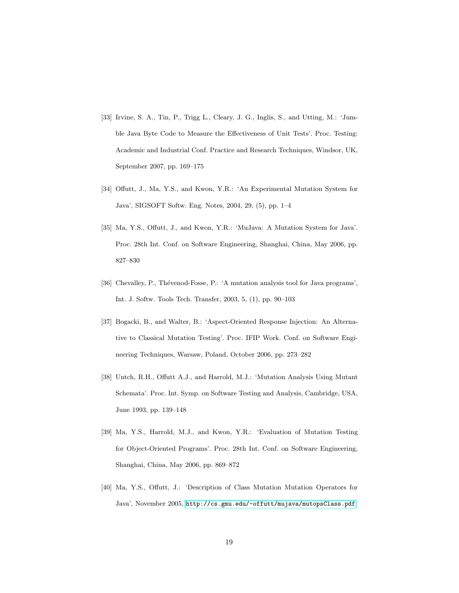- <span id="page-18-0"></span>[33] Irvine, S. A., Tin, P., Trigg L., Cleary, J. G., Inglis, S., and Utting, M.: 'Jumble Java Byte Code to Measure the Effectiveness of Unit Tests'. Proc. Testing: Academic and Industrial Conf. Practice and Research Techniques, Windsor, UK, September 2007, pp. 169–175
- <span id="page-18-1"></span>[34] Offutt, J., Ma, Y.S., and Kwon, Y.R.: 'An Experimental Mutation System for Java', SIGSOFT Softw. Eng. Notes, 2004, 29, (5), pp. 1–4
- <span id="page-18-2"></span>[35] Ma, Y.S., Offutt, J., and Kwon, Y.R.: 'MuJava: A Mutation System for Java'. Proc. 28th Int. Conf. on Software Engineering, Shanghai, China, May 2006, pp. 827–830
- <span id="page-18-3"></span>[36] Chevalley, P., Thévenod-Fosse, P.: 'A mutation analysis tool for Java programs', Int. J. Softw. Tools Tech. Transfer, 2003, 5, (1), pp. 90–103
- <span id="page-18-4"></span>[37] Bogacki, B., and Walter, B.: 'Aspect-Oriented Response Injection: An Alternative to Classical Mutation Testing'. Proc. IFIP Work. Conf. on Software Engineering Techniques, Warsaw, Poland, October 2006, pp. 273–282
- <span id="page-18-5"></span>[38] Untch, R.H., Offutt A.J., and Harrold, M.J.: 'Mutation Analysis Using Mutant Schemata'. Proc. Int. Symp. on Software Testing and Analysis, Cambridge, USA, June 1993, pp. 139–148
- <span id="page-18-6"></span>[39] Ma, Y.S., Harrold, M.J., and Kwon, Y.R.: 'Evaluation of Mutation Testing for Object-Oriented Programs'. Proc. 28th Int. Conf. on Software Engineering, Shanghai, China, May 2006, pp. 869–872
- <span id="page-18-7"></span>[40] Ma, Y.S., Offutt, J.: 'Description of Class Mutation Mutation Operators for Java', November 2005, <http://cs.gmu.edu/~offutt/mujava/mutopsClass.pdf>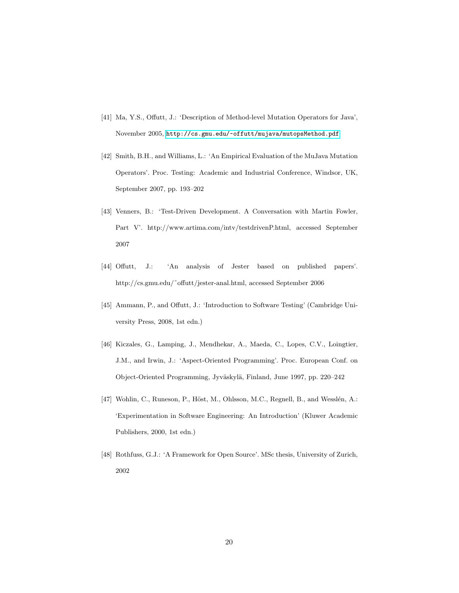- <span id="page-19-0"></span>[41] Ma, Y.S., Offutt, J.: 'Description of Method-level Mutation Operators for Java', November 2005, <http://cs.gmu.edu/~offutt/mujava/mutopsMethod.pdf>
- <span id="page-19-1"></span>[42] Smith, B.H., and Williams, L.: 'An Empirical Evaluation of the MuJava Mutation Operators'. Proc. Testing: Academic and Industrial Conference, Windsor, UK, September 2007, pp. 193–202
- <span id="page-19-2"></span>[43] Venners, B.: 'Test-Driven Development. A Conversation with Martin Fowler, Part V'. http://www.artima.com/intv/testdrivenP.html, accessed September 2007
- <span id="page-19-3"></span>[44] Offutt, J.: 'An analysis of Jester based on published papers'. http://cs.gmu.edu/˜offutt/jester-anal.html, accessed September 2006
- <span id="page-19-4"></span>[45] Ammann, P., and Offutt, J.: 'Introduction to Software Testing' (Cambridge University Press, 2008, 1st edn.)
- <span id="page-19-5"></span>[46] Kiczales, G., Lamping, J., Mendhekar, A., Maeda, C., Lopes, C.V., Loingtier, J.M., and Irwin, J.: 'Aspect-Oriented Programming'. Proc. European Conf. on Object-Oriented Programming, Jyväskylä, Finland, June 1997, pp. 220–242
- <span id="page-19-6"></span>[47] Wohlin, C., Runeson, P., Höst, M., Ohlsson, M.C., Regnell, B., and Wesslén, A.: 'Experimentation in Software Engineering: An Introduction' (Kluwer Academic Publishers, 2000, 1st edn.)
- <span id="page-19-7"></span>[48] Rothfuss, G.J.: 'A Framework for Open Source'. MSc thesis, University of Zurich, 2002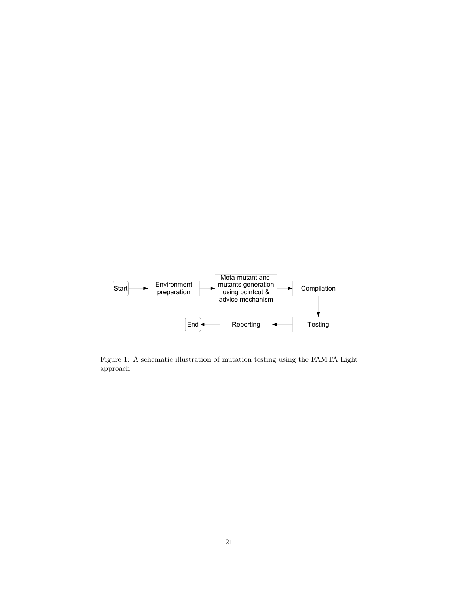

<span id="page-20-0"></span>Figure 1: A schematic illustration of mutation testing using the FAMTA Light approach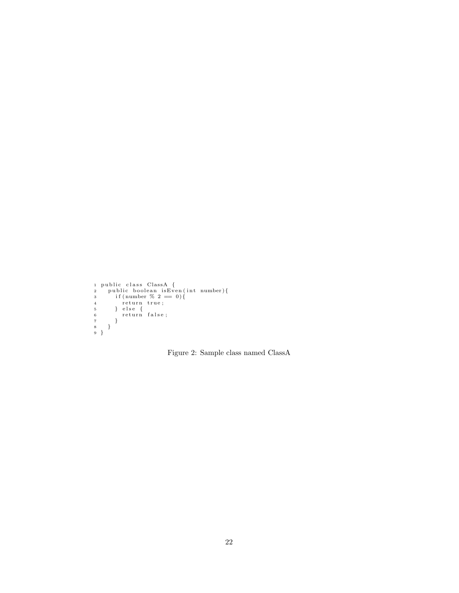```
1 public class ClassA {<br>
2 public boolean isEven(int number){<br>
3 if (number % 2 == 0){<br>
4 return true;<br>
5 } else {<br>
6 return false;
\left[ \begin{array}{ccc} 7 & & & \ & 8 & \ & 8 & \ & 9 & \ \end{array} \right]
```
<span id="page-21-0"></span>Figure 2: Sample class named ClassA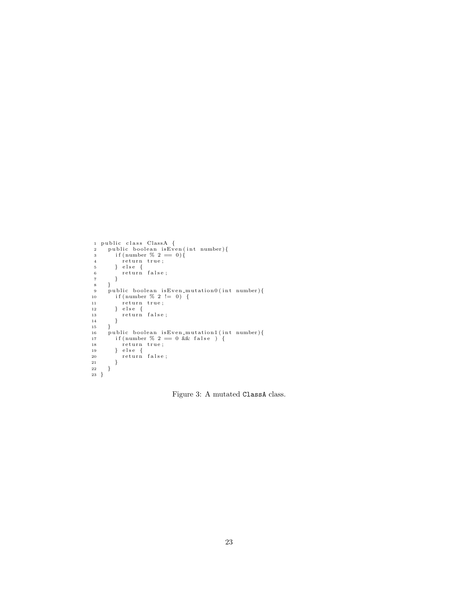```
1 public class ClassA {<br>2 public boolean isEven(int number){<br>3 if(number % 2 == 0){
 \begin{array}{ccc} 4 & \text{return true;} \\ 5 & \text{else} \end{array}5 } else {<br>6 return
 \begin{array}{c} 6 \\ 7 \end{array} return false;
 \begin{matrix} 7 & 3 \ 7 & 3 \end{matrix}\begin{array}{c} 8 \\ 9 \\ 9 \end{array}9 public boolean is Even-mutation 0 (int number) {<br>
10 if (number \% 2 != 0) {
11 \textrm{return true};<br>
12 } else {
 12 } else {<br>13 return false;
\begin{array}{ccc} 14 & & \end{array}15 }
 16 public boolean isEven_mutation1(int number){<br>17 if (number % 2 == 0 && false ) {<br>18 return true;
19 } else {<br>20 } return
                \begin{array}{c} \text{return } \text{false}; \\ \end{array}\begin{array}{c} 21 \\ 22 \end{array} }
2223 \, }
```
<span id="page-22-0"></span>Figure 3: A mutated ClassA class.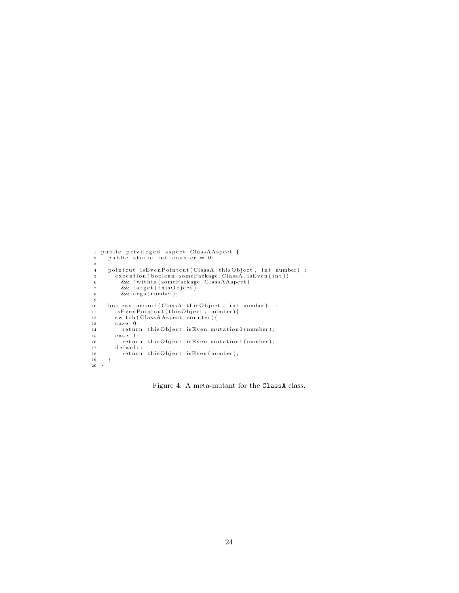```
1 public privileged aspect ClassAAspect {<br>2 public static int counter = 0;
 3
  gointcut isEvenPointcut(ClassA thisObject, int number) :<br>5 execution(boolean somePackage.ClassA.isEven(int))<br>6 && !within(somePackage.ClassAAspect)
 7 & k target (this Object)
 8 && args (number);
 9
10 boolean around (ClassA thisObject, int number) :<br>
11 isEvenPointcut (thisObject, number) {
11 is Even Pointcut (this Object, number) {<br>12 switch (Class A A spect.counter) {
              \text{switch} (ClassAAspect.counter){
\begin{tabular}{ll} 13 & \hspace*{1.5mm} \textbf{case} & 0: \\ 14 & \hspace*{1.5mm} \textbf{return} \end{tabular}return this O bject. is Even_mutation 0 (number);
\begin{tabular}{ll} 15 & \hspace{1.5mm} \text{case} & 1: \\ 16 & \hspace{1.5mm} \text{return:} \end{tabular}16 return this Object.is Even_mutation1(number);<br>default:
\begin{tabular}{ll} 17 & $\quad$ default: \\ 18 & $\quad$ return \end{tabular}return this O bject. is Even (number);
19 }
20 }
```
<span id="page-23-0"></span>Figure 4: A meta-mutant for the ClassA class.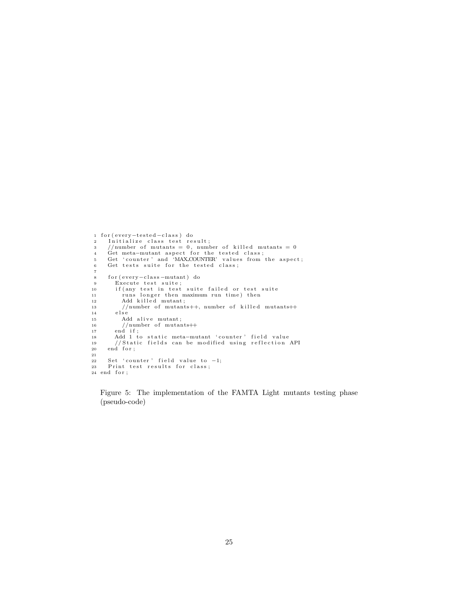```
1 for (every-tested-class) do<br>2 Initialize class test res
 2 Initialize class test result;<br>3 //number of mutants = 0, number of killed mutants = 0
 4 Get meta−mutant aspect for the tested class;<br>5 Get 'counter' and 'MAX_COUNTER' values from the aspect;
6 Get tests suite for the tested class;
7
8 for (every-class –mutant) do
9 Execute test suite;<br>10 if (any test in test suite failed or test suite<br>11 runs longer then maximum run time) then
12 Add k i l l e d mutant ;
13 //number o f mutants++, number o f k i l l e d mutants++
14 else
15 Add alive mutant;
16 //number of mutants++<br>17 end if;
18 Add 1 to static meta−mutant 'counter' field value<br>19 //Static fields can be modified using reflection API
20 end for;
21
22 Set 'counter' field value to -1;
23 Print test results for class;
24 end for;
```
<span id="page-24-0"></span>Figure 5: The implementation of the FAMTA Light mutants testing phase (pseudo-code)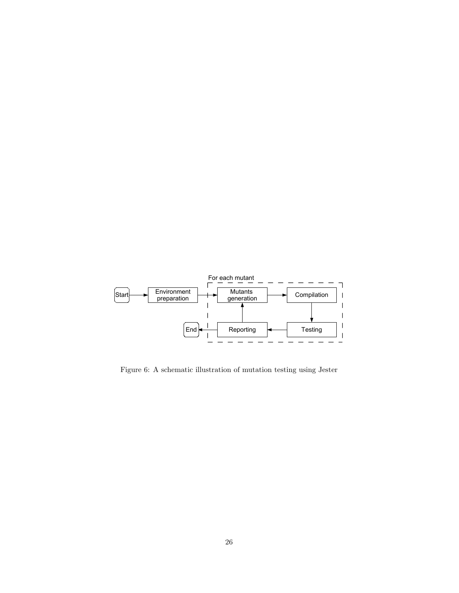

<span id="page-25-0"></span>Figure 6: A schematic illustration of mutation testing using Jester